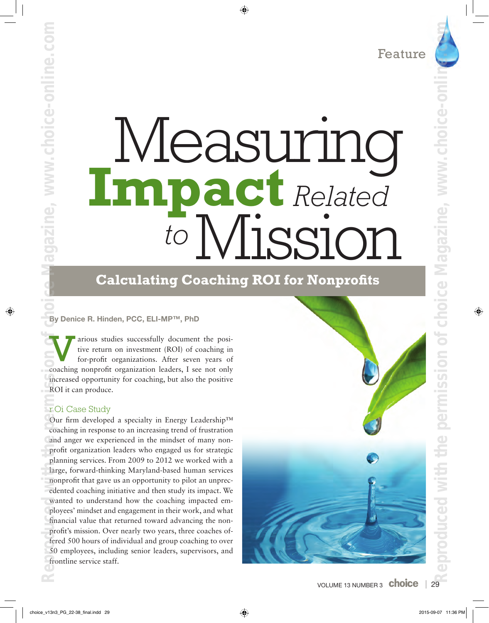# Measuring **Impact** *Related to* Mission

# **Calculating Coaching ROI for Nonprofits**

By Denice R. Hinden, PCC, ELI-MP™, PhD

arious studies successfully document the positive return on investment (ROI) of coaching in for-profit organizations. After seven years of arious studies successfully document the positive return on investment (ROI) of coaching in for-profit organizations. After seven years of coaching nonprofit organization leaders, I see not only increased opportunity for coaching, but also the positive ROI it can produce.

# **TOi Case Study**

azine, www.choice-online.

Our firm developed a specialty in Energy Leadership™ coaching in response to an increasing trend of frustration and anger we experienced in the mindset of many nonprofit organization leaders who engaged us for strategic planning services. From 2009 to 2012 we worked with a large, forward-thinking Maryland-based human services nonprofit that gave us an opportunity to pilot an unprecedented coaching initiative and then study its impact. We wanted to understand how the coaching impacted employees' mindset and engagement in their work, and what financial value that returned toward advancing the nonprofit's mission. Over nearly two years, three coaches offered 500 hours of individual and group coaching to over 50 employees, including senior leaders, supervisors, and frontline service staff. **Reproduced with the permission of choice of choice-online.com Choice-online.com** 

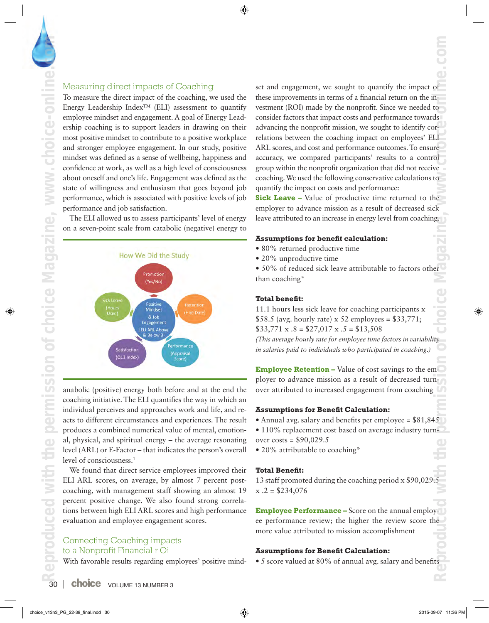# Measuring direct impacts of Coaching

To measure the direct impact of the coaching, we used the Energy Leadership Index™ (ELI) assessment to quantify employee mindset and engagement. A goal of Energy Leadership coaching is to support leaders in drawing on their most positive mindset to contribute to a positive workplace and stronger employee engagement. In our study, positive mindset was defined as a sense of wellbeing, happiness and confidence at work, as well as a high level of consciousness about oneself and one's life. Engagement was defined as the state of willingness and enthusiasm that goes beyond job performance, which is associated with positive levels of job performance and job satisfaction.

The ELI allowed us to assess participants' level of energy on a seven-point scale from catabolic (negative) energy to



anabolic (positive) energy both before and at the end the coaching initiative. The ELI quantifies the way in which an individual perceives and approaches work and life, and reacts to different circumstances and experiences. The result produces a combined numerical value of mental, emotional, physical, and spiritual energy – the average resonating level (ARL) or E-Factor – that indicates the person's overall level of consciousness.<sup>1</sup>

We found that direct service employees improved their ELI ARL scores, on average, by almost 7 percent postcoaching, with management staff showing an almost 19 percent positive change. We also found strong correlations between high ELI ARL scores and high performance evaluation and employee engagement scores.

# Connecting Coaching Impacts to a Nonprofit Financial r Oi

With favorable results regarding employees' positive mind-

set and engagement, we sought to quantify the impact of these improvements in terms of a financial return on the investment (ROI) made by the nonprofit. Since we needed to consider factors that impact costs and performance towards advancing the nonprofit mission, we sought to identify correlations between the coaching impact on employees' ELI ARL scores, and cost and performance outcomes. To ensure accuracy, we compared participants' results to a control group within the nonprofit organization that did not receive coaching. We used the following conservative calculations to quantify the impact on costs and performance: **Reproduced with the permission of choice Magazine, www.choice-online.com**

**Sick Leave –** Value of productive time returned to the employer to advance mission as a result of decreased sick leave attributed to an increase in energy level from coaching.

### **Assumptions for benefit calculation:**

- 80% returned productive time
- 20% unproductive time

• 50% of reduced sick leave attributable to factors other than coaching\*

# **Total benefit:**

11.1 hours less sick leave for coaching participants x \$58.5 (avg. hourly rate) x 52 employees =  $$33,771$ ;  $$33,771 \times .8 = $27,017 \times .5 = $13,508$ 

*(This average hourly rate for employee time factors in variability in salaries paid to individuals who participated in coaching.)*

**Employee Retention –** Value of cost savings to the employer to advance mission as a result of decreased turnover attributed to increased engagement from coaching

#### **Assumptions for Benefit Calculation:**

- Annual avg. salary and benefits per employee = \$81,845
- 110% replacement cost based on average industry turnover costs = \$90,029.5
- 20% attributable to coaching\*

#### **Total Benefit:**

13 staff promoted during the coaching period x \$90,029.5  $x \cdot 2 = $234.076$ 

**Employee Performance –** Score on the annual employee performance review; the higher the review score the more value attributed to mission accomplishment

# **Assumptions for Benefit Calculation:**

• 5 score valued at 80% of annual avg. salary and benefits